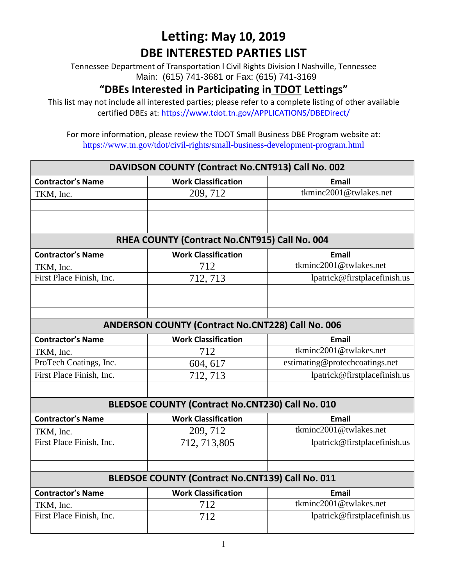Tennessee Department of Transportation l Civil Rights Division l Nashville, Tennessee Main: (615) 741-3681 or Fax: (615) 741-3169

#### **"DBEs Interested in Participating in TDOT Lettings"**

This list may not include all interested parties; please refer to a complete listing of other available certified DBEs at:<https://www.tdot.tn.gov/APPLICATIONS/DBEDirect/>

| DAVIDSON COUNTY (Contract No.CNT913) Call No. 002       |                                                   |                                |  |
|---------------------------------------------------------|---------------------------------------------------|--------------------------------|--|
| <b>Contractor's Name</b>                                | <b>Work Classification</b>                        | <b>Email</b>                   |  |
| TKM, Inc.                                               | 209, 712                                          | tkminc2001@twlakes.net         |  |
|                                                         |                                                   |                                |  |
|                                                         |                                                   |                                |  |
|                                                         |                                                   |                                |  |
| RHEA COUNTY (Contract No.CNT915) Call No. 004           |                                                   |                                |  |
| <b>Contractor's Name</b>                                | <b>Work Classification</b>                        | <b>Email</b>                   |  |
| TKM, Inc.                                               | 712                                               | tkminc2001@twlakes.net         |  |
| First Place Finish, Inc.                                | 712, 713                                          | lpatrick@firstplacefinish.us   |  |
|                                                         |                                                   |                                |  |
|                                                         |                                                   |                                |  |
|                                                         |                                                   |                                |  |
|                                                         | ANDERSON COUNTY (Contract No.CNT228) Call No. 006 |                                |  |
| <b>Contractor's Name</b>                                | <b>Work Classification</b>                        | <b>Email</b>                   |  |
| TKM, Inc.                                               | 712                                               | tkminc2001@twlakes.net         |  |
| ProTech Coatings, Inc.                                  | 604, 617                                          | estimating@protechcoatings.net |  |
| First Place Finish, Inc.                                | 712, 713                                          | lpatrick@firstplacefinish.us   |  |
|                                                         |                                                   |                                |  |
|                                                         | BLEDSOE COUNTY (Contract No.CNT230) Call No. 010  |                                |  |
| <b>Contractor's Name</b>                                | <b>Work Classification</b>                        | <b>Email</b>                   |  |
| TKM, Inc.                                               | 209, 712                                          | tkminc2001@twlakes.net         |  |
| First Place Finish, Inc.                                | 712, 713,805                                      | lpatrick@firstplacefinish.us   |  |
|                                                         |                                                   |                                |  |
|                                                         |                                                   |                                |  |
| <b>BLEDSOE COUNTY (Contract No.CNT139) Call No. 011</b> |                                                   |                                |  |
| <b>Contractor's Name</b>                                | <b>Work Classification</b>                        | <b>Email</b>                   |  |
| TKM, Inc.                                               | 712                                               | tkminc2001@twlakes.net         |  |
| First Place Finish, Inc.                                | 712                                               | lpatrick@firstplacefinish.us   |  |
|                                                         |                                                   |                                |  |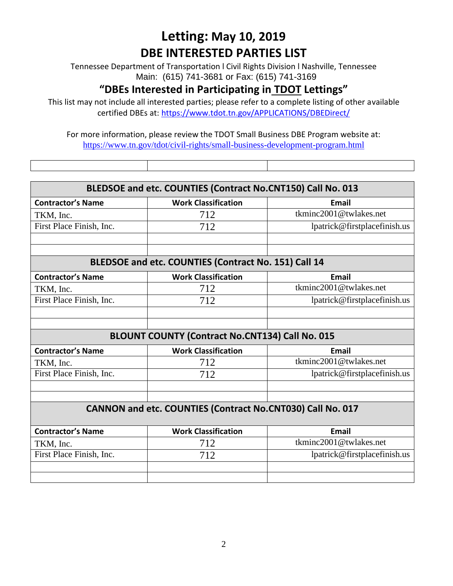Tennessee Department of Transportation l Civil Rights Division l Nashville, Tennessee Main: (615) 741-3681 or Fax: (615) 741-3169

#### **"DBEs Interested in Participating in TDOT Lettings"**

This list may not include all interested parties; please refer to a complete listing of other available certified DBEs at:<https://www.tdot.tn.gov/APPLICATIONS/DBEDirect/>

| BLEDSOE and etc. COUNTIES (Contract No.CNT150) Call No. 013 |                                                            |                              |  |
|-------------------------------------------------------------|------------------------------------------------------------|------------------------------|--|
| <b>Contractor's Name</b>                                    | <b>Work Classification</b>                                 | <b>Email</b>                 |  |
| TKM, Inc.                                                   | 712                                                        | tkminc2001@twlakes.net       |  |
| First Place Finish, Inc.                                    | 712                                                        | lpatrick@firstplacefinish.us |  |
|                                                             |                                                            |                              |  |
|                                                             |                                                            |                              |  |
|                                                             | BLEDSOE and etc. COUNTIES (Contract No. 151) Call 14       |                              |  |
| <b>Contractor's Name</b>                                    | <b>Work Classification</b>                                 | <b>Email</b>                 |  |
| TKM, Inc.                                                   | 712                                                        | tkminc2001@twlakes.net       |  |
| First Place Finish, Inc.                                    | 712                                                        | lpatrick@firstplacefinish.us |  |
|                                                             |                                                            |                              |  |
|                                                             |                                                            |                              |  |
|                                                             | <b>BLOUNT COUNTY (Contract No.CNT134) Call No. 015</b>     |                              |  |
| <b>Contractor's Name</b>                                    | <b>Work Classification</b>                                 | <b>Email</b>                 |  |
| TKM, Inc.                                                   | 712                                                        | tkminc2001@twlakes.net       |  |
| First Place Finish, Inc.                                    | 712                                                        | lpatrick@firstplacefinish.us |  |
|                                                             |                                                            |                              |  |
|                                                             |                                                            |                              |  |
|                                                             | CANNON and etc. COUNTIES (Contract No.CNT030) Call No. 017 |                              |  |
|                                                             |                                                            |                              |  |
|                                                             |                                                            |                              |  |
| <b>Contractor's Name</b>                                    | <b>Work Classification</b>                                 | <b>Email</b>                 |  |
| TKM, Inc.                                                   | 712                                                        | tkminc2001@twlakes.net       |  |
| First Place Finish, Inc.                                    | 712                                                        | lpatrick@firstplacefinish.us |  |
|                                                             |                                                            |                              |  |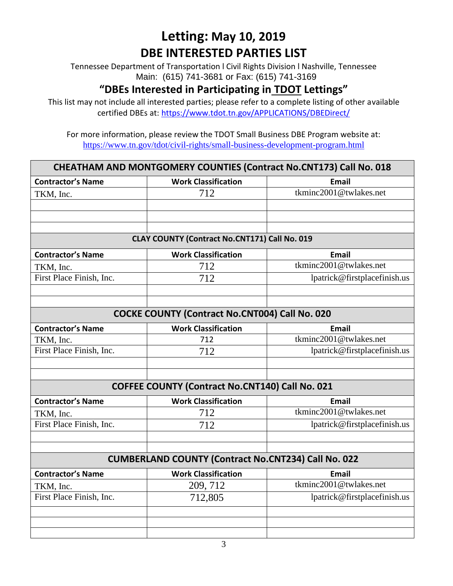Tennessee Department of Transportation l Civil Rights Division l Nashville, Tennessee Main: (615) 741-3681 or Fax: (615) 741-3169

#### **"DBEs Interested in Participating in TDOT Lettings"**

This list may not include all interested parties; please refer to a complete listing of other available certified DBEs at:<https://www.tdot.tn.gov/APPLICATIONS/DBEDirect/>

| CHEATHAM AND MONTGOMERY COUNTIES (Contract No.CNT173) Call No. 018 |                                                            |                              |  |
|--------------------------------------------------------------------|------------------------------------------------------------|------------------------------|--|
| <b>Contractor's Name</b>                                           | <b>Work Classification</b>                                 | <b>Email</b>                 |  |
| TKM, Inc.                                                          | 712                                                        | tkminc2001@twlakes.net       |  |
|                                                                    |                                                            |                              |  |
|                                                                    |                                                            |                              |  |
|                                                                    |                                                            |                              |  |
|                                                                    | CLAY COUNTY (Contract No.CNT171) Call No. 019              |                              |  |
| <b>Contractor's Name</b>                                           | <b>Work Classification</b>                                 | <b>Email</b>                 |  |
| TKM, Inc.                                                          | 712                                                        | tkminc2001@twlakes.net       |  |
| First Place Finish, Inc.                                           | 712                                                        | lpatrick@firstplacefinish.us |  |
|                                                                    |                                                            |                              |  |
|                                                                    |                                                            |                              |  |
|                                                                    | <b>COCKE COUNTY (Contract No.CNT004) Call No. 020</b>      |                              |  |
| <b>Contractor's Name</b>                                           | <b>Work Classification</b>                                 | <b>Email</b>                 |  |
| TKM, Inc.                                                          | 712                                                        | tkminc2001@twlakes.net       |  |
| First Place Finish, Inc.                                           | 712                                                        | lpatrick@firstplacefinish.us |  |
|                                                                    |                                                            |                              |  |
|                                                                    |                                                            |                              |  |
|                                                                    | <b>COFFEE COUNTY (Contract No.CNT140) Call No. 021</b>     |                              |  |
| <b>Contractor's Name</b>                                           | <b>Work Classification</b>                                 | <b>Email</b>                 |  |
| TKM, Inc.                                                          | 712                                                        | tkminc2001@twlakes.net       |  |
| First Place Finish, Inc.                                           | 712                                                        | lpatrick@firstplacefinish.us |  |
|                                                                    |                                                            |                              |  |
|                                                                    |                                                            |                              |  |
|                                                                    | <b>CUMBERLAND COUNTY (Contract No.CNT234) Call No. 022</b> |                              |  |
| <b>Contractor's Name</b>                                           | <b>Work Classification</b>                                 | <b>Email</b>                 |  |
| TKM, Inc.                                                          | 209, 712                                                   | tkminc2001@twlakes.net       |  |
| First Place Finish, Inc.                                           | 712,805                                                    | lpatrick@firstplacefinish.us |  |
|                                                                    |                                                            |                              |  |
|                                                                    |                                                            |                              |  |
|                                                                    |                                                            |                              |  |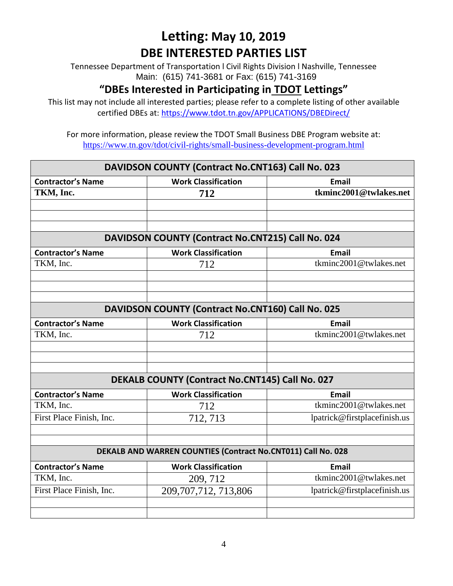Tennessee Department of Transportation l Civil Rights Division l Nashville, Tennessee Main: (615) 741-3681 or Fax: (615) 741-3169

#### **"DBEs Interested in Participating in TDOT Lettings"**

This list may not include all interested parties; please refer to a complete listing of other available certified DBEs at:<https://www.tdot.tn.gov/APPLICATIONS/DBEDirect/>

| DAVIDSON COUNTY (Contract No.CNT163) Call No. 023            |                                                        |                              |  |
|--------------------------------------------------------------|--------------------------------------------------------|------------------------------|--|
| <b>Contractor's Name</b>                                     | <b>Work Classification</b>                             | <b>Email</b>                 |  |
| TKM, Inc.                                                    | 712                                                    | tkminc2001@twlakes.net       |  |
|                                                              |                                                        |                              |  |
|                                                              |                                                        |                              |  |
|                                                              |                                                        |                              |  |
|                                                              | DAVIDSON COUNTY (Contract No.CNT215) Call No. 024      |                              |  |
| <b>Contractor's Name</b>                                     | <b>Work Classification</b>                             | <b>Email</b>                 |  |
| TKM, Inc.                                                    | 712                                                    | tkminc2001@twlakes.net       |  |
|                                                              |                                                        |                              |  |
|                                                              |                                                        |                              |  |
|                                                              |                                                        |                              |  |
|                                                              | DAVIDSON COUNTY (Contract No.CNT160) Call No. 025      |                              |  |
| <b>Contractor's Name</b>                                     | <b>Work Classification</b>                             | <b>Email</b>                 |  |
| TKM, Inc.                                                    | 712                                                    | tkminc2001@twlakes.net       |  |
|                                                              |                                                        |                              |  |
|                                                              |                                                        |                              |  |
|                                                              |                                                        |                              |  |
|                                                              | <b>DEKALB COUNTY (Contract No.CNT145) Call No. 027</b> |                              |  |
| <b>Contractor's Name</b>                                     | <b>Work Classification</b>                             | <b>Email</b>                 |  |
| TKM, Inc.                                                    | 712                                                    | tkminc2001@twlakes.net       |  |
| First Place Finish, Inc.                                     | 712, 713                                               | lpatrick@firstplacefinish.us |  |
|                                                              |                                                        |                              |  |
|                                                              |                                                        |                              |  |
| DEKALB AND WARREN COUNTIES (Contract No.CNT011) Call No. 028 |                                                        |                              |  |
| <b>Contractor's Name</b>                                     | <b>Work Classification</b>                             | <b>Email</b>                 |  |
| TKM, Inc.                                                    | 209, 712                                               | tkminc2001@twlakes.net       |  |
| First Place Finish, Inc.                                     | 209, 707, 712, 713, 806                                | lpatrick@firstplacefinish.us |  |
|                                                              |                                                        |                              |  |
|                                                              |                                                        |                              |  |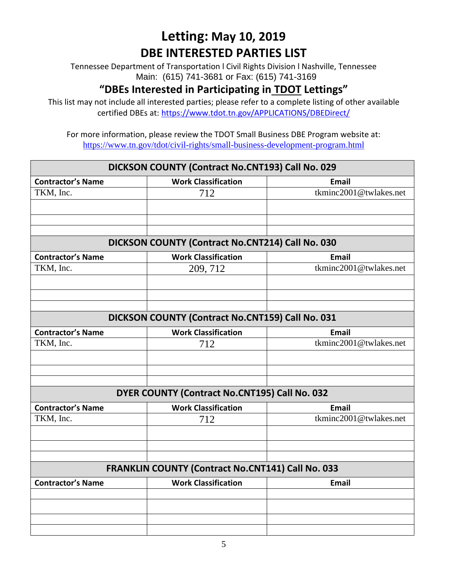Tennessee Department of Transportation l Civil Rights Division l Nashville, Tennessee Main: (615) 741-3681 or Fax: (615) 741-3169

#### **"DBEs Interested in Participating in TDOT Lettings"**

This list may not include all interested parties; please refer to a complete listing of other available certified DBEs at:<https://www.tdot.tn.gov/APPLICATIONS/DBEDirect/>

| DICKSON COUNTY (Contract No.CNT193) Call No. 029 |                                                   |                        |
|--------------------------------------------------|---------------------------------------------------|------------------------|
| <b>Contractor's Name</b>                         | <b>Work Classification</b>                        | Email                  |
| TKM, Inc.                                        | 712                                               | tkminc2001@twlakes.net |
|                                                  |                                                   |                        |
|                                                  |                                                   |                        |
|                                                  |                                                   |                        |
|                                                  | DICKSON COUNTY (Contract No.CNT214) Call No. 030  |                        |
| <b>Contractor's Name</b>                         | <b>Work Classification</b>                        | <b>Email</b>           |
| TKM, Inc.                                        | 209, 712                                          | tkminc2001@twlakes.net |
|                                                  |                                                   |                        |
|                                                  |                                                   |                        |
|                                                  |                                                   |                        |
|                                                  | DICKSON COUNTY (Contract No.CNT159) Call No. 031  |                        |
| <b>Contractor's Name</b>                         | <b>Work Classification</b>                        | <b>Email</b>           |
| TKM, Inc.                                        | 712                                               | tkminc2001@twlakes.net |
|                                                  |                                                   |                        |
|                                                  |                                                   |                        |
|                                                  |                                                   |                        |
|                                                  | DYER COUNTY (Contract No.CNT195) Call No. 032     |                        |
| <b>Contractor's Name</b>                         | <b>Work Classification</b>                        | <b>Email</b>           |
| TKM, Inc.                                        | 712                                               | tkminc2001@twlakes.net |
|                                                  |                                                   |                        |
|                                                  |                                                   |                        |
|                                                  |                                                   |                        |
|                                                  | FRANKLIN COUNTY (Contract No.CNT141) Call No. 033 |                        |
| <b>Contractor's Name</b>                         | <b>Work Classification</b>                        | <b>Email</b>           |
|                                                  |                                                   |                        |
|                                                  |                                                   |                        |
|                                                  |                                                   |                        |
|                                                  |                                                   |                        |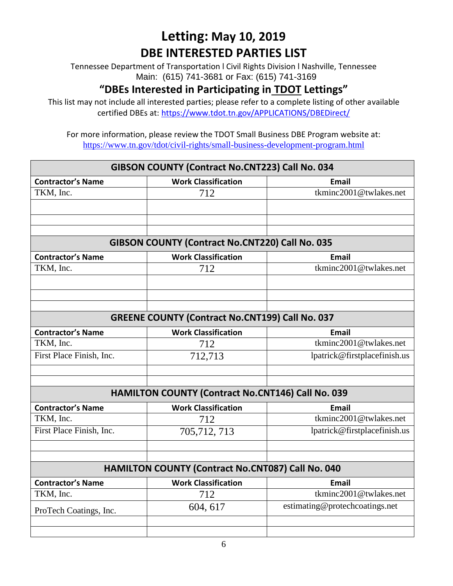Tennessee Department of Transportation l Civil Rights Division l Nashville, Tennessee Main: (615) 741-3681 or Fax: (615) 741-3169

#### **"DBEs Interested in Participating in TDOT Lettings"**

This list may not include all interested parties; please refer to a complete listing of other available certified DBEs at:<https://www.tdot.tn.gov/APPLICATIONS/DBEDirect/>

| GIBSON COUNTY (Contract No.CNT223) Call No. 034        |                                                          |                                |  |
|--------------------------------------------------------|----------------------------------------------------------|--------------------------------|--|
| <b>Contractor's Name</b>                               | <b>Work Classification</b>                               | <b>Email</b>                   |  |
| TKM, Inc.                                              | 712                                                      | tkminc2001@twlakes.net         |  |
|                                                        |                                                          |                                |  |
|                                                        |                                                          |                                |  |
|                                                        |                                                          |                                |  |
|                                                        | GIBSON COUNTY (Contract No.CNT220) Call No. 035          |                                |  |
| <b>Contractor's Name</b>                               | <b>Work Classification</b>                               | <b>Email</b>                   |  |
| TKM, Inc.                                              | 712                                                      | tkminc2001@twlakes.net         |  |
|                                                        |                                                          |                                |  |
|                                                        |                                                          |                                |  |
|                                                        |                                                          |                                |  |
| <b>GREENE COUNTY (Contract No.CNT199) Call No. 037</b> |                                                          |                                |  |
| <b>Contractor's Name</b>                               | <b>Work Classification</b>                               | <b>Email</b>                   |  |
| TKM, Inc.                                              | 712                                                      | tkminc2001@twlakes.net         |  |
| First Place Finish, Inc.                               | 712,713                                                  | lpatrick@firstplacefinish.us   |  |
|                                                        |                                                          |                                |  |
|                                                        |                                                          |                                |  |
|                                                        | <b>HAMILTON COUNTY (Contract No.CNT146) Call No. 039</b> |                                |  |
| <b>Contractor's Name</b>                               | <b>Work Classification</b>                               | <b>Email</b>                   |  |
| TKM, Inc.                                              | 712                                                      | tkminc2001@twlakes.net         |  |
| First Place Finish, Inc.                               | 705,712,713                                              | lpatrick@firstplacefinish.us   |  |
|                                                        |                                                          |                                |  |
|                                                        |                                                          |                                |  |
|                                                        | HAMILTON COUNTY (Contract No.CNT087) Call No. 040        |                                |  |
| <b>Contractor's Name</b>                               | <b>Work Classification</b>                               | <b>Email</b>                   |  |
| TKM, Inc.                                              | 712                                                      | tkminc2001@twlakes.net         |  |
| ProTech Coatings, Inc.                                 | 604, 617                                                 | estimating@protechcoatings.net |  |
|                                                        |                                                          |                                |  |
|                                                        |                                                          |                                |  |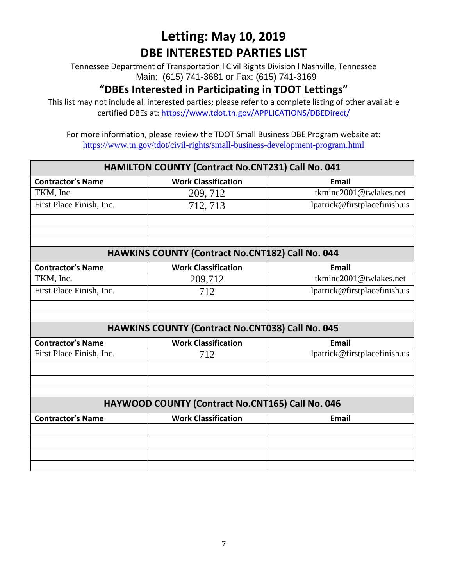Tennessee Department of Transportation l Civil Rights Division l Nashville, Tennessee Main: (615) 741-3681 or Fax: (615) 741-3169

#### **"DBEs Interested in Participating in TDOT Lettings"**

This list may not include all interested parties; please refer to a complete listing of other available certified DBEs at:<https://www.tdot.tn.gov/APPLICATIONS/DBEDirect/>

| <b>HAMILTON COUNTY (Contract No.CNT231) Call No. 041</b> |                                                         |                              |  |
|----------------------------------------------------------|---------------------------------------------------------|------------------------------|--|
| <b>Contractor's Name</b>                                 | <b>Work Classification</b>                              | <b>Email</b>                 |  |
| TKM, Inc.                                                | 209, 712                                                | tkminc2001@twlakes.net       |  |
| First Place Finish, Inc.                                 | 712, 713                                                | lpatrick@firstplacefinish.us |  |
|                                                          |                                                         |                              |  |
|                                                          |                                                         |                              |  |
|                                                          |                                                         |                              |  |
| HAWKINS COUNTY (Contract No.CNT182) Call No. 044         |                                                         |                              |  |
| <b>Contractor's Name</b>                                 | <b>Work Classification</b>                              | <b>Email</b>                 |  |
| TKM, Inc.                                                | 209,712                                                 | tkminc2001@twlakes.net       |  |
| First Place Finish, Inc.                                 | 712                                                     | lpatrick@firstplacefinish.us |  |
|                                                          |                                                         |                              |  |
|                                                          |                                                         |                              |  |
|                                                          | <b>HAWKINS COUNTY (Contract No.CNT038) Call No. 045</b> |                              |  |
| <b>Contractor's Name</b>                                 | <b>Work Classification</b>                              | <b>Email</b>                 |  |
| First Place Finish, Inc.                                 | 712                                                     | lpatrick@firstplacefinish.us |  |
|                                                          |                                                         |                              |  |
|                                                          |                                                         |                              |  |
|                                                          |                                                         |                              |  |
|                                                          | HAYWOOD COUNTY (Contract No.CNT165) Call No. 046        |                              |  |
| <b>Contractor's Name</b>                                 | <b>Work Classification</b>                              | <b>Email</b>                 |  |
|                                                          |                                                         |                              |  |
|                                                          |                                                         |                              |  |
|                                                          |                                                         |                              |  |
|                                                          |                                                         |                              |  |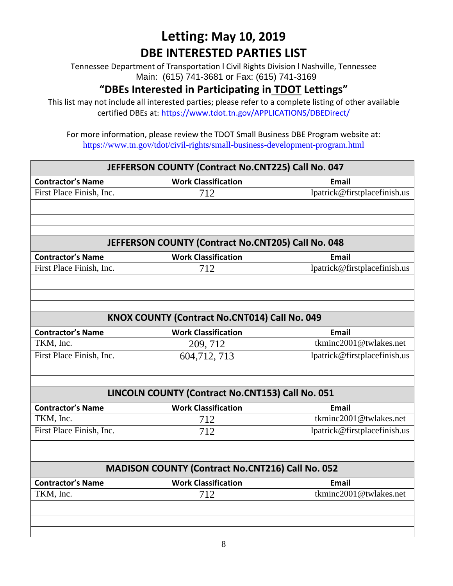Tennessee Department of Transportation l Civil Rights Division l Nashville, Tennessee Main: (615) 741-3681 or Fax: (615) 741-3169

#### **"DBEs Interested in Participating in TDOT Lettings"**

This list may not include all interested parties; please refer to a complete listing of other available certified DBEs at:<https://www.tdot.tn.gov/APPLICATIONS/DBEDirect/>

| JEFFERSON COUNTY (Contract No.CNT225) Call No. 047      |                                                    |                              |
|---------------------------------------------------------|----------------------------------------------------|------------------------------|
| <b>Contractor's Name</b>                                | <b>Work Classification</b>                         | <b>Email</b>                 |
| First Place Finish, Inc.                                | 712                                                | lpatrick@firstplacefinish.us |
|                                                         |                                                    |                              |
|                                                         |                                                    |                              |
|                                                         |                                                    |                              |
|                                                         | JEFFERSON COUNTY (Contract No.CNT205) Call No. 048 |                              |
| <b>Contractor's Name</b>                                | <b>Work Classification</b>                         | <b>Email</b>                 |
| First Place Finish, Inc.                                | 712                                                | lpatrick@firstplacefinish.us |
|                                                         |                                                    |                              |
|                                                         |                                                    |                              |
|                                                         |                                                    |                              |
|                                                         | KNOX COUNTY (Contract No.CNT014) Call No. 049      |                              |
| <b>Contractor's Name</b>                                | <b>Work Classification</b>                         | <b>Email</b>                 |
| TKM, Inc.                                               | 209, 712                                           | tkminc2001@twlakes.net       |
| First Place Finish, Inc.                                | 604,712,713                                        | lpatrick@firstplacefinish.us |
|                                                         |                                                    |                              |
|                                                         |                                                    |                              |
|                                                         | LINCOLN COUNTY (Contract No.CNT153) Call No. 051   |                              |
| <b>Contractor's Name</b>                                | <b>Work Classification</b>                         | <b>Email</b>                 |
| TKM, Inc.                                               | 712                                                | tkminc2001@twlakes.net       |
| First Place Finish, Inc.                                | 712                                                | lpatrick@firstplacefinish.us |
|                                                         |                                                    |                              |
|                                                         |                                                    |                              |
| <b>MADISON COUNTY (Contract No.CNT216) Call No. 052</b> |                                                    |                              |
| <b>Contractor's Name</b>                                | <b>Work Classification</b>                         | <b>Email</b>                 |
| TKM, Inc.                                               | 712                                                | tkminc2001@twlakes.net       |
|                                                         |                                                    |                              |
|                                                         |                                                    |                              |
|                                                         |                                                    |                              |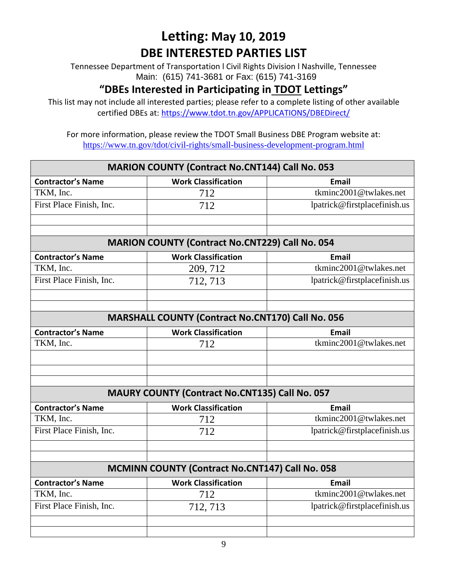Tennessee Department of Transportation l Civil Rights Division l Nashville, Tennessee Main: (615) 741-3681 or Fax: (615) 741-3169

#### **"DBEs Interested in Participating in TDOT Lettings"**

This list may not include all interested parties; please refer to a complete listing of other available certified DBEs at:<https://www.tdot.tn.gov/APPLICATIONS/DBEDirect/>

| <b>MARION COUNTY (Contract No.CNT144) Call No. 053</b> |                                                        |                              |
|--------------------------------------------------------|--------------------------------------------------------|------------------------------|
| <b>Contractor's Name</b>                               | <b>Work Classification</b>                             | <b>Email</b>                 |
| TKM, Inc.                                              | 712                                                    | tkminc2001@twlakes.net       |
| First Place Finish, Inc.                               | 712                                                    | lpatrick@firstplacefinish.us |
|                                                        |                                                        |                              |
|                                                        |                                                        |                              |
|                                                        | <b>MARION COUNTY (Contract No.CNT229) Call No. 054</b> |                              |
| <b>Contractor's Name</b>                               | <b>Work Classification</b>                             | <b>Email</b>                 |
| TKM, Inc.                                              | 209, 712                                               | tkminc2001@twlakes.net       |
| First Place Finish, Inc.                               | 712, 713                                               | lpatrick@firstplacefinish.us |
|                                                        |                                                        |                              |
|                                                        |                                                        |                              |
|                                                        | MARSHALL COUNTY (Contract No.CNT170) Call No. 056      |                              |
| <b>Contractor's Name</b>                               | <b>Work Classification</b>                             | <b>Email</b>                 |
| TKM, Inc.                                              | 712                                                    | tkminc2001@twlakes.net       |
|                                                        |                                                        |                              |
|                                                        |                                                        |                              |
|                                                        |                                                        |                              |
|                                                        | MAURY COUNTY (Contract No.CNT135) Call No. 057         |                              |
| <b>Contractor's Name</b>                               | <b>Work Classification</b>                             | <b>Email</b>                 |
| TKM, Inc.                                              | 712                                                    | tkminc2001@twlakes.net       |
| First Place Finish, Inc.                               | 712                                                    | lpatrick@firstplacefinish.us |
|                                                        |                                                        |                              |
|                                                        |                                                        |                              |
|                                                        | MCMINN COUNTY (Contract No.CNT147) Call No. 058        |                              |
| <b>Contractor's Name</b>                               | <b>Work Classification</b>                             | <b>Email</b>                 |
| TKM, Inc.                                              | 712                                                    | tkminc2001@twlakes.net       |
| First Place Finish, Inc.                               | 712, 713                                               | lpatrick@firstplacefinish.us |
|                                                        |                                                        |                              |
|                                                        |                                                        |                              |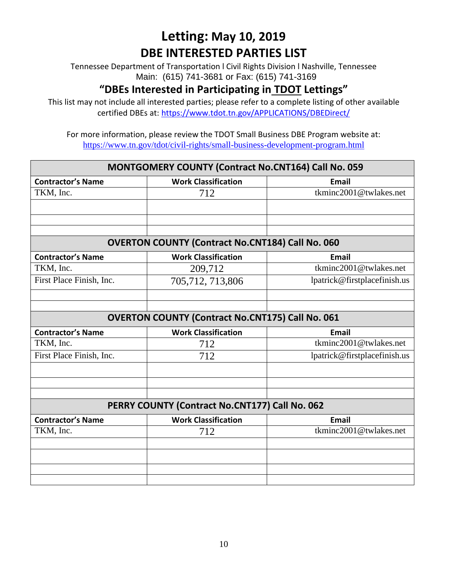Tennessee Department of Transportation l Civil Rights Division l Nashville, Tennessee Main: (615) 741-3681 or Fax: (615) 741-3169

#### **"DBEs Interested in Participating in TDOT Lettings"**

This list may not include all interested parties; please refer to a complete listing of other available certified DBEs at:<https://www.tdot.tn.gov/APPLICATIONS/DBEDirect/>

| MONTGOMERY COUNTY (Contract No.CNT164) Call No. 059     |                                                |                              |
|---------------------------------------------------------|------------------------------------------------|------------------------------|
| <b>Contractor's Name</b>                                | <b>Work Classification</b>                     | <b>Email</b>                 |
| TKM, Inc.                                               | 712                                            | tkminc2001@twlakes.net       |
|                                                         |                                                |                              |
|                                                         |                                                |                              |
|                                                         |                                                |                              |
| <b>OVERTON COUNTY (Contract No.CNT184) Call No. 060</b> |                                                |                              |
| <b>Contractor's Name</b>                                | <b>Work Classification</b>                     | Email                        |
| TKM, Inc.                                               | 209,712                                        | tkminc2001@twlakes.net       |
| First Place Finish, Inc.                                | 705,712,713,806                                | lpatrick@firstplacefinish.us |
|                                                         |                                                |                              |
|                                                         |                                                |                              |
| <b>OVERTON COUNTY (Contract No.CNT175) Call No. 061</b> |                                                |                              |
|                                                         |                                                |                              |
| <b>Contractor's Name</b>                                | <b>Work Classification</b>                     | <b>Email</b>                 |
| TKM, Inc.                                               | 712                                            | tkminc2001@twlakes.net       |
| First Place Finish, Inc.                                | 712                                            | lpatrick@firstplacefinish.us |
|                                                         |                                                |                              |
|                                                         |                                                |                              |
|                                                         |                                                |                              |
|                                                         | PERRY COUNTY (Contract No.CNT177) Call No. 062 |                              |
| <b>Contractor's Name</b>                                | <b>Work Classification</b>                     | Email                        |
| TKM, Inc.                                               | 712                                            | tkminc2001@twlakes.net       |
|                                                         |                                                |                              |
|                                                         |                                                |                              |
|                                                         |                                                |                              |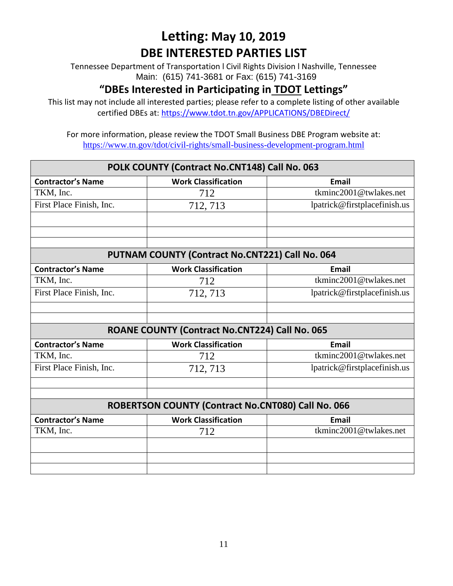Tennessee Department of Transportation l Civil Rights Division l Nashville, Tennessee Main: (615) 741-3681 or Fax: (615) 741-3169

#### **"DBEs Interested in Participating in TDOT Lettings"**

This list may not include all interested parties; please refer to a complete listing of other available certified DBEs at:<https://www.tdot.tn.gov/APPLICATIONS/DBEDirect/>

| POLK COUNTY (Contract No.CNT148) Call No. 063 |                                                    |                              |
|-----------------------------------------------|----------------------------------------------------|------------------------------|
| <b>Contractor's Name</b>                      | <b>Work Classification</b>                         | <b>Email</b>                 |
| TKM, Inc.                                     | 712                                                | tkminc2001@twlakes.net       |
| First Place Finish, Inc.                      | 712, 713                                           | lpatrick@firstplacefinish.us |
|                                               |                                                    |                              |
|                                               |                                                    |                              |
|                                               | PUTNAM COUNTY (Contract No.CNT221) Call No. 064    |                              |
| <b>Contractor's Name</b>                      | <b>Work Classification</b>                         | <b>Email</b>                 |
| TKM, Inc.                                     | 712                                                | tkminc2001@twlakes.net       |
| First Place Finish, Inc.                      | 712, 713                                           | lpatrick@firstplacefinish.us |
|                                               |                                                    |                              |
|                                               |                                                    |                              |
|                                               | ROANE COUNTY (Contract No.CNT224) Call No. 065     |                              |
| <b>Contractor's Name</b>                      | <b>Work Classification</b>                         | <b>Email</b>                 |
| TKM, Inc.                                     | 712                                                | tkminc2001@twlakes.net       |
| First Place Finish, Inc.                      | 712, 713                                           | lpatrick@firstplacefinish.us |
|                                               |                                                    |                              |
|                                               |                                                    |                              |
|                                               | ROBERTSON COUNTY (Contract No.CNT080) Call No. 066 |                              |
| <b>Contractor's Name</b>                      | <b>Work Classification</b>                         | <b>Email</b>                 |
| TKM, Inc.                                     | 712                                                | tkminc2001@twlakes.net       |
|                                               |                                                    |                              |
|                                               |                                                    |                              |
|                                               |                                                    |                              |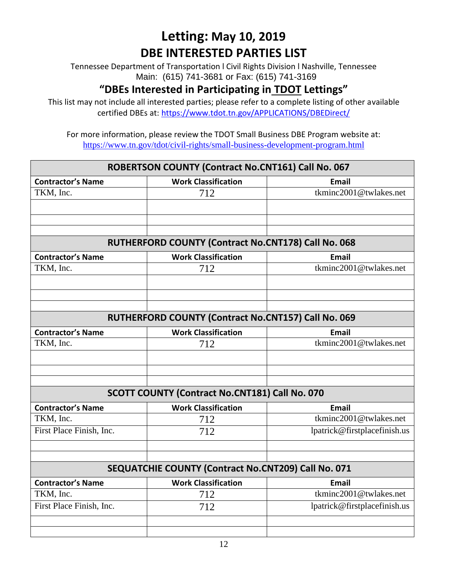Tennessee Department of Transportation l Civil Rights Division l Nashville, Tennessee Main: (615) 741-3681 or Fax: (615) 741-3169

#### **"DBEs Interested in Participating in TDOT Lettings"**

This list may not include all interested parties; please refer to a complete listing of other available certified DBEs at:<https://www.tdot.tn.gov/APPLICATIONS/DBEDirect/>

| ROBERTSON COUNTY (Contract No.CNT161) Call No. 067 |                                                       |                              |
|----------------------------------------------------|-------------------------------------------------------|------------------------------|
| <b>Contractor's Name</b>                           | <b>Work Classification</b>                            | <b>Email</b>                 |
| TKM, Inc.                                          | 712                                                   | tkminc2001@twlakes.net       |
|                                                    |                                                       |                              |
|                                                    |                                                       |                              |
|                                                    |                                                       |                              |
|                                                    | RUTHERFORD COUNTY (Contract No.CNT178) Call No. 068   |                              |
| <b>Contractor's Name</b>                           | <b>Work Classification</b>                            | <b>Email</b>                 |
| TKM, Inc.                                          | 712                                                   | tkminc2001@twlakes.net       |
|                                                    |                                                       |                              |
|                                                    |                                                       |                              |
|                                                    |                                                       |                              |
|                                                    | RUTHERFORD COUNTY (Contract No.CNT157) Call No. 069   |                              |
| <b>Contractor's Name</b>                           | <b>Work Classification</b>                            | <b>Email</b>                 |
| TKM, Inc.                                          | 712                                                   | tkminc2001@twlakes.net       |
|                                                    |                                                       |                              |
|                                                    |                                                       |                              |
|                                                    |                                                       |                              |
|                                                    | <b>SCOTT COUNTY (Contract No.CNT181) Call No. 070</b> |                              |
| <b>Contractor's Name</b>                           | <b>Work Classification</b>                            | <b>Email</b>                 |
| TKM, Inc.                                          | 712                                                   | tkminc2001@twlakes.net       |
| First Place Finish, Inc.                           | 712                                                   | lpatrick@firstplacefinish.us |
|                                                    |                                                       |                              |
|                                                    |                                                       |                              |
|                                                    | SEQUATCHIE COUNTY (Contract No.CNT209) Call No. 071   |                              |
| <b>Contractor's Name</b>                           | <b>Work Classification</b>                            | <b>Email</b>                 |
| TKM, Inc.                                          | 712                                                   | tkminc2001@twlakes.net       |
| First Place Finish, Inc.                           | 712                                                   | lpatrick@firstplacefinish.us |
|                                                    |                                                       |                              |
|                                                    |                                                       |                              |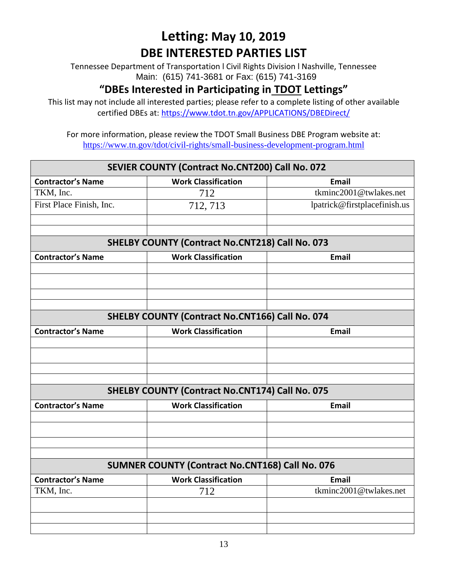Tennessee Department of Transportation l Civil Rights Division l Nashville, Tennessee Main: (615) 741-3681 or Fax: (615) 741-3169

#### **"DBEs Interested in Participating in TDOT Lettings"**

This list may not include all interested parties; please refer to a complete listing of other available certified DBEs at:<https://www.tdot.tn.gov/APPLICATIONS/DBEDirect/>

| SEVIER COUNTY (Contract No.CNT200) Call No. 072        |                                                        |                              |  |  |
|--------------------------------------------------------|--------------------------------------------------------|------------------------------|--|--|
| <b>Contractor's Name</b>                               | <b>Work Classification</b>                             | <b>Email</b>                 |  |  |
| TKM, Inc.                                              | 712                                                    | tkminc2001@twlakes.net       |  |  |
| First Place Finish, Inc.                               | 712, 713                                               | lpatrick@firstplacefinish.us |  |  |
|                                                        |                                                        |                              |  |  |
|                                                        |                                                        |                              |  |  |
| <b>SHELBY COUNTY (Contract No.CNT218) Call No. 073</b> |                                                        |                              |  |  |
| <b>Contractor's Name</b>                               | <b>Work Classification</b>                             | <b>Email</b>                 |  |  |
|                                                        |                                                        |                              |  |  |
|                                                        |                                                        |                              |  |  |
|                                                        |                                                        |                              |  |  |
|                                                        |                                                        |                              |  |  |
| <b>SHELBY COUNTY (Contract No.CNT166) Call No. 074</b> |                                                        |                              |  |  |
| <b>Contractor's Name</b>                               | <b>Work Classification</b>                             | <b>Email</b>                 |  |  |
|                                                        |                                                        |                              |  |  |
|                                                        |                                                        |                              |  |  |
|                                                        |                                                        |                              |  |  |
|                                                        |                                                        |                              |  |  |
|                                                        | <b>SHELBY COUNTY (Contract No.CNT174) Call No. 075</b> |                              |  |  |
| <b>Contractor's Name</b>                               | <b>Work Classification</b>                             | <b>Email</b>                 |  |  |
|                                                        |                                                        |                              |  |  |
|                                                        |                                                        |                              |  |  |
|                                                        |                                                        |                              |  |  |
|                                                        |                                                        |                              |  |  |
|                                                        | <b>SUMNER COUNTY (Contract No.CNT168) Call No. 076</b> |                              |  |  |
| <b>Contractor's Name</b>                               | <b>Work Classification</b>                             | <b>Email</b>                 |  |  |
| TKM, Inc.                                              | 712                                                    | tkminc2001@twlakes.net       |  |  |
|                                                        |                                                        |                              |  |  |
|                                                        |                                                        |                              |  |  |
|                                                        |                                                        |                              |  |  |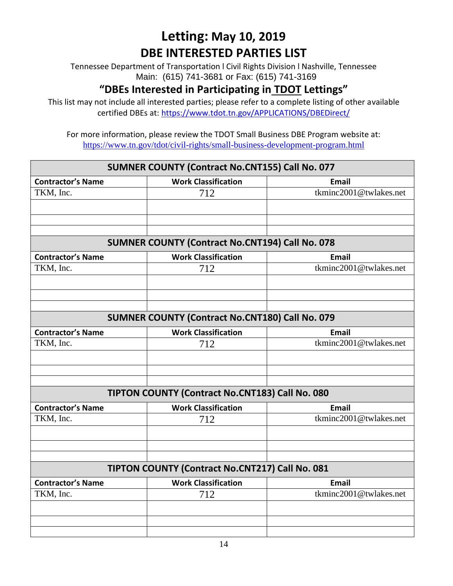Tennessee Department of Transportation l Civil Rights Division l Nashville, Tennessee Main: (615) 741-3681 or Fax: (615) 741-3169

#### **"DBEs Interested in Participating in TDOT Lettings"**

This list may not include all interested parties; please refer to a complete listing of other available certified DBEs at:<https://www.tdot.tn.gov/APPLICATIONS/DBEDirect/>

| SUMNER COUNTY (Contract No.CNT155) Call No. 077        |                                                        |                        |  |  |
|--------------------------------------------------------|--------------------------------------------------------|------------------------|--|--|
| <b>Contractor's Name</b>                               | <b>Work Classification</b>                             | <b>Email</b>           |  |  |
| TKM, Inc.                                              | 712                                                    | tkminc2001@twlakes.net |  |  |
|                                                        |                                                        |                        |  |  |
|                                                        |                                                        |                        |  |  |
|                                                        |                                                        |                        |  |  |
| <b>SUMNER COUNTY (Contract No.CNT194) Call No. 078</b> |                                                        |                        |  |  |
| <b>Contractor's Name</b>                               | <b>Work Classification</b>                             | <b>Email</b>           |  |  |
| TKM, Inc.                                              | 712                                                    | tkminc2001@twlakes.net |  |  |
|                                                        |                                                        |                        |  |  |
|                                                        |                                                        |                        |  |  |
|                                                        |                                                        |                        |  |  |
|                                                        | <b>SUMNER COUNTY (Contract No.CNT180) Call No. 079</b> |                        |  |  |
| <b>Contractor's Name</b>                               | <b>Work Classification</b>                             | <b>Email</b>           |  |  |
| TKM, Inc.                                              | 712                                                    | tkminc2001@twlakes.net |  |  |
|                                                        |                                                        |                        |  |  |
|                                                        |                                                        |                        |  |  |
|                                                        |                                                        |                        |  |  |
|                                                        | TIPTON COUNTY (Contract No.CNT183) Call No. 080        |                        |  |  |
| <b>Contractor's Name</b>                               | <b>Work Classification</b>                             | <b>Email</b>           |  |  |
| TKM, Inc.                                              | 712                                                    | tkminc2001@twlakes.net |  |  |
|                                                        |                                                        |                        |  |  |
|                                                        |                                                        |                        |  |  |
|                                                        |                                                        |                        |  |  |
|                                                        | TIPTON COUNTY (Contract No.CNT217) Call No. 081        |                        |  |  |
| <b>Contractor's Name</b>                               | <b>Work Classification</b>                             | <b>Email</b>           |  |  |
| TKM, Inc.                                              | 712                                                    | tkminc2001@twlakes.net |  |  |
|                                                        |                                                        |                        |  |  |
|                                                        |                                                        |                        |  |  |
|                                                        |                                                        |                        |  |  |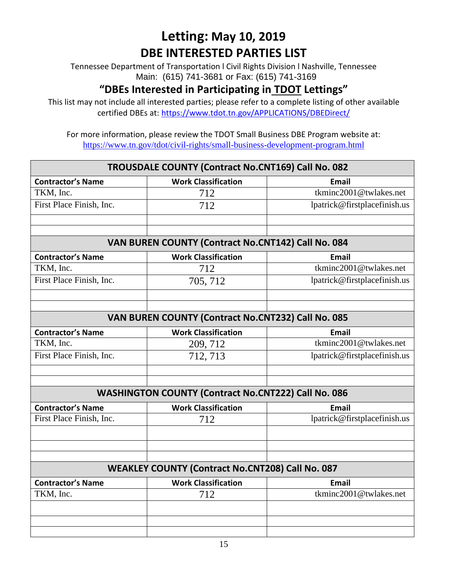Tennessee Department of Transportation l Civil Rights Division l Nashville, Tennessee Main: (615) 741-3681 or Fax: (615) 741-3169

#### **"DBEs Interested in Participating in TDOT Lettings"**

This list may not include all interested parties; please refer to a complete listing of other available certified DBEs at:<https://www.tdot.tn.gov/APPLICATIONS/DBEDirect/>

| TROUSDALE COUNTY (Contract No.CNT169) Call No. 082 |                                                            |                              |  |  |
|----------------------------------------------------|------------------------------------------------------------|------------------------------|--|--|
| <b>Contractor's Name</b>                           | <b>Work Classification</b>                                 | <b>Email</b>                 |  |  |
| TKM, Inc.                                          | 712                                                        | tkminc2001@twlakes.net       |  |  |
| First Place Finish, Inc.                           | 712                                                        | lpatrick@firstplacefinish.us |  |  |
|                                                    |                                                            |                              |  |  |
|                                                    |                                                            |                              |  |  |
| VAN BUREN COUNTY (Contract No.CNT142) Call No. 084 |                                                            |                              |  |  |
| <b>Contractor's Name</b>                           | <b>Work Classification</b>                                 | <b>Email</b>                 |  |  |
| TKM, Inc.                                          | 712                                                        | tkminc2001@twlakes.net       |  |  |
| First Place Finish, Inc.                           | 705, 712                                                   | lpatrick@firstplacefinish.us |  |  |
|                                                    |                                                            |                              |  |  |
|                                                    | VAN BUREN COUNTY (Contract No.CNT232) Call No. 085         |                              |  |  |
|                                                    |                                                            |                              |  |  |
| <b>Contractor's Name</b>                           | <b>Work Classification</b>                                 | <b>Email</b>                 |  |  |
| TKM, Inc.                                          | 209, 712                                                   | tkminc2001@twlakes.net       |  |  |
| First Place Finish, Inc.                           | 712, 713                                                   | lpatrick@firstplacefinish.us |  |  |
|                                                    |                                                            |                              |  |  |
|                                                    | <b>WASHINGTON COUNTY (Contract No.CNT222) Call No. 086</b> |                              |  |  |
| <b>Contractor's Name</b>                           | <b>Work Classification</b>                                 | <b>Email</b>                 |  |  |
| First Place Finish, Inc.                           | 712                                                        | lpatrick@firstplacefinish.us |  |  |
|                                                    |                                                            |                              |  |  |
|                                                    |                                                            |                              |  |  |
|                                                    |                                                            |                              |  |  |
|                                                    | <b>WEAKLEY COUNTY (Contract No.CNT208) Call No. 087</b>    |                              |  |  |
| <b>Contractor's Name</b>                           | <b>Work Classification</b>                                 | <b>Email</b>                 |  |  |
| TKM, Inc.                                          | 712                                                        | tkminc2001@twlakes.net       |  |  |
|                                                    |                                                            |                              |  |  |
|                                                    |                                                            |                              |  |  |
|                                                    |                                                            |                              |  |  |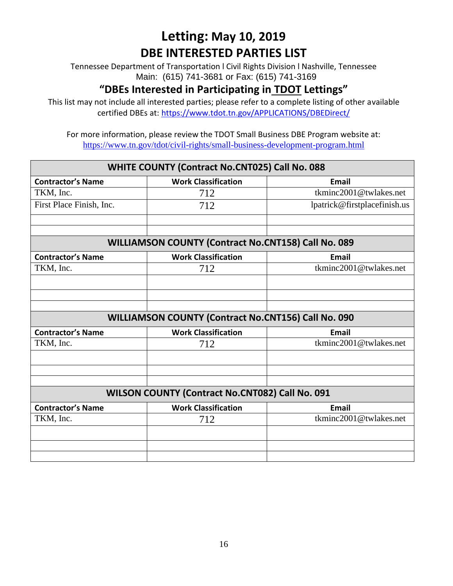Tennessee Department of Transportation l Civil Rights Division l Nashville, Tennessee Main: (615) 741-3681 or Fax: (615) 741-3169

#### **"DBEs Interested in Participating in TDOT Lettings"**

This list may not include all interested parties; please refer to a complete listing of other available certified DBEs at:<https://www.tdot.tn.gov/APPLICATIONS/DBEDirect/>

| WHITE COUNTY (Contract No.CNT025) Call No. 088             |                            |                              |
|------------------------------------------------------------|----------------------------|------------------------------|
| <b>Contractor's Name</b>                                   | <b>Work Classification</b> | <b>Email</b>                 |
| TKM, Inc.                                                  | 712                        | tkminc2001@twlakes.net       |
| First Place Finish, Inc.                                   | 712                        | lpatrick@firstplacefinish.us |
|                                                            |                            |                              |
|                                                            |                            |                              |
| <b>WILLIAMSON COUNTY (Contract No.CNT158) Call No. 089</b> |                            |                              |
| <b>Contractor's Name</b>                                   | <b>Work Classification</b> | <b>Email</b>                 |
| TKM, Inc.                                                  | 712                        | tkminc2001@twlakes.net       |
|                                                            |                            |                              |
|                                                            |                            |                              |
|                                                            |                            |                              |
| WILLIAMSON COUNTY (Contract No.CNT156) Call No. 090        |                            |                              |
| <b>Contractor's Name</b>                                   | <b>Work Classification</b> | <b>Email</b>                 |
| TKM, Inc.                                                  | 712                        | tkminc2001@twlakes.net       |
|                                                            |                            |                              |
|                                                            |                            |                              |
|                                                            |                            |                              |
| WILSON COUNTY (Contract No.CNT082) Call No. 091            |                            |                              |
| <b>Contractor's Name</b>                                   | <b>Work Classification</b> | <b>Email</b>                 |
| TKM, Inc.                                                  | 712                        | tkminc2001@twlakes.net       |
|                                                            |                            |                              |
|                                                            |                            |                              |
|                                                            |                            |                              |